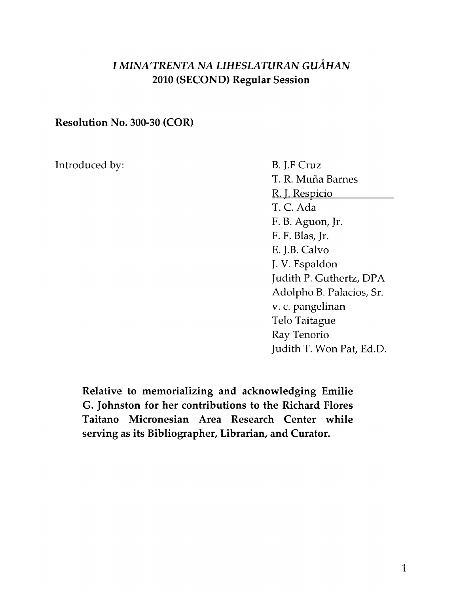## **I MINA'TRENTA NA LIHESLATURAN GUÅHAN** 2010 (SECOND) Regular Session

## Resolution No. 300-30 (COR)

Introduced by: B. J.F Cruz

T. R. Mufia Barnes R. I. Respicio T. C. Ada F. B. Aguon, Jr. F. F. Blas, Jr. E. J.B. Calvo J. V. Espaldon Judith P. Guthertz, DPA Adolpha B. Palacios, Sr. v. c. pangelinan Telo Taitague Ray Tenorio Judith T. Won Pat, Ed.D.

Relative to memorializing and acknowledging Emilie G. Johnston for her contributions to the Richard Flores Taitano Micronesian Area Research Center while serving as its Bibliographer, Librarian, and Curator.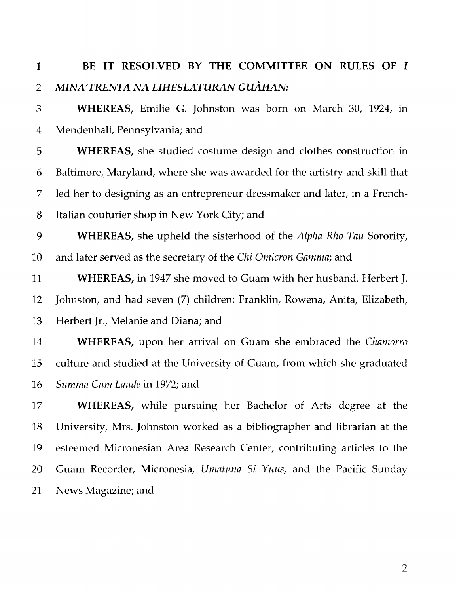## 1 BE IT RESOLVED BY THE COMMITTEE ON RULES OF I 2 MINA'TRENTA NA LIHESLATURAN GUÅHAN:

3 WHEREAS, Emilie G. Johnston was born on March 30, 1924, In 4 Mendenhall, Pennsylvania; and

5 WHEREAS, she studied costume design and clothes construction in 6 Baltimore, Maryland, where she was awarded for the artistry and skill that 7 led her to designing as an entrepreneur dressmaker and later, in a French-8 Italian couturier shop in New York City; and

9 WHEREAS, she upheld the sisterhood of the *Alpha Rho Tau* Sorority, 10 and later served as the secretary of the *Chi Omicron Gamma;* and

11 WHEREAS, in 1947 she moved to Guam with her husband, Herbert J. 12 Johnston, and had seven (7) children: Franklin, Rowena, Anita, Elizabeth, 13 Herbert Jr., Melanie and Diana; and

14 WHEREAS, upon her arrival on Guam she embraced the *Chamorro*  15 culture and studied at the University of Guam, from which she graduated 16 *Summa Cum Laude* in 1972; and

17 WHEREAS, while pursuing her Bachelor of Arts degree at the 18 University, Mrs. Johnston worked as a bibliographer and librarian at the 19 esteemed Micronesian Area Research Center, contributing articles to the 20 Guam Recorder, Micronesia, *Umatuna Si Yuus,* and the Pacific Sunday 21 News Magazine; and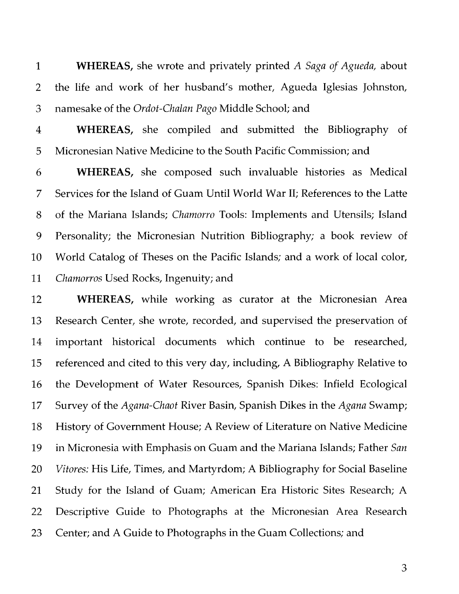**1 WHEREAS,** she wrote and privately printed *A Saga of Agueda,* about 2 the life and work of her husband's mother, Agueda Iglesias Johnston, 3 namesake of the *Ordot-Chalan Pago* Middle School; and

4 **WHEREAS,** she compiled and submitted the Bibliography of 5 Micronesian Native Medicine to the South Pacific Commission; and

6 **WHEREAS,** she composed such invaluable histories as Medical 7 Services for the Island of Guam Until World War II; References to the Latte 8 of the Mariana Islands; *Chamorro* Tools: Implements and Utensils; Island 9 Personality; the Micronesian Nutrition Bibliography; a book review of 10 World Catalog of Theses on the Pacific Islands; and a work of local color, 11 *Chamorros* Used Rocks, Ingenuity; and

12 **WHEREAS,** while working as curator at the Micronesian Area 13 Research Center, she wrote, recorded, and supervised the preservation of 14 important historical documents which continue to be researched, 15 referenced and cited to this very day, including, A Bibliography Relative to 16 the Development of Water Resources, Spanish Dikes: Infield Ecological 17 Survey of the *Agana-Chaot* River Basin, Spanish Dikes in the *Agana* Swamp; 18 History of Government House; A Review of Literature on Native Medicine 19 in Micronesia with Emphasis on Guam and the Mariana Islands; Father *San*  20 *Vitores:* His Life, Times, and Martyrdom; A Bibliography for Social Baseline 21 Study for the Island of Guam; American Era Historic Sites Research; A 22 Descriptive Guide to Photographs at the Micronesian Area Research 23 Center; and A Guide to Photographs in the Guam Collections; and

3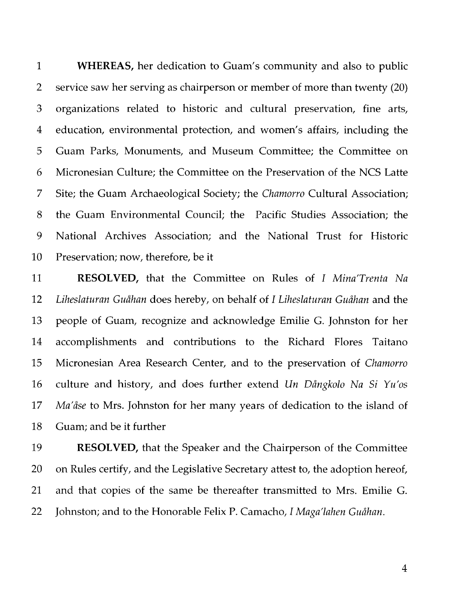1 **WHEREAS,** her dedication to Guam's community and also to public 2 service saw her serving as chairperson or member of more than twenty (20) 3 organizations related to historic and cultural preservation, fine arts, 4 education, environmental protection, and women's affairs, including the 5 Guam Parks, Monuments, and Museum Committee; the Committee on 6 Micronesian Culture; the Committee on the Preservation of the NCS Latte 7 Site; the Guam Archaeological Society; the *Chamorro* Cultural Association; 8 the Guam Environmental Council; the Pacific Studies Association; the 9 National Archives Association; and the National Trust for Historic 10 Preservation; now, therefore, be it

11 **RESOLVED,** that the Committee on Rules of *I Mina'Trenta Na*  12 *Liheslaturan Guahan* does hereby, on behalf of *I Liheslaturan Guahan* and the 13 people of Guam, recognize and acknowledge Emilie G. Johnston for her 14 accomplishments and contributions to the Richard Flores Taitano 15 Micronesian Area Research Center, and to the preservation of *Chamorro*  16 culture and history, and does further extend *Un Dangkolo Na Si Yu'os*  17 *Ma'ase* to Mrs. Johnston for her many years of dedication to the island of 18 Guam; and be it further

19 **RESOLVED,** that the Speaker and the Chairperson of the Committee 20 on Rules certify, and the Legislative Secretary attest to, the adoption hereof, 21 and that copies of the same be thereafter transmitted to Mrs. Emilie G. 22 Johnston; and to the Honorable Felix P. Camacho, *I Maga'lahen Guahan.* 

4